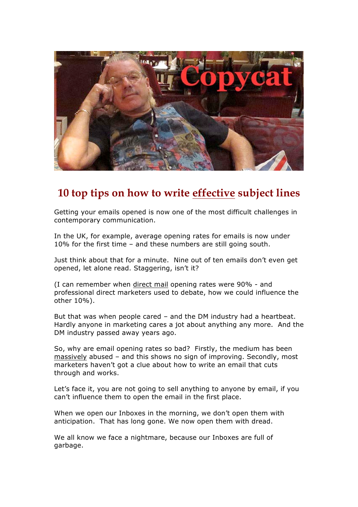

# **10 top tips on how to write effective subject lines**

Getting your emails opened is now one of the most difficult challenges in contemporary communication.

In the UK, for example, average opening rates for emails is now under 10% for the first time – and these numbers are still going south.

Just think about that for a minute. Nine out of ten emails don't even get opened, let alone read. Staggering, isn't it?

(I can remember when direct mail opening rates were 90% - and professional direct marketers used to debate, how we could influence the other 10%).

But that was when people cared – and the DM industry had a heartbeat. Hardly anyone in marketing cares a jot about anything any more. And the DM industry passed away years ago.

So, why are email opening rates so bad? Firstly, the medium has been massively abused – and this shows no sign of improving. Secondly, most marketers haven't got a clue about how to write an email that cuts through and works.

Let's face it, you are not going to sell anything to anyone by email, if you can't influence them to open the email in the first place.

When we open our Inboxes in the morning, we don't open them with anticipation. That has long gone. We now open them with dread.

We all know we face a nightmare, because our Inboxes are full of garbage.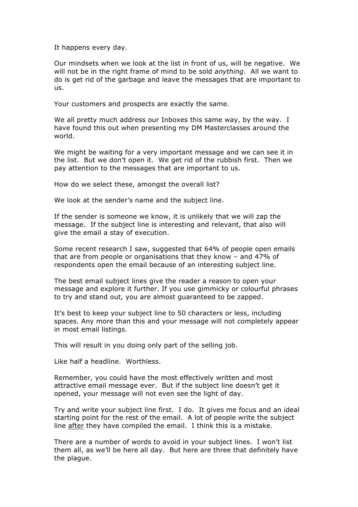It happens every day.

Our mindsets when we look at the list in front of us, will be negative. We will not be in the right frame of mind to be sold *anything*. All we want to do is get rid of the garbage and leave the messages that are important to us.

Your customers and prospects are exactly the same.

We all pretty much address our Inboxes this same way, by the way. I have found this out when presenting my DM Masterclasses around the world.

We might be waiting for a very important message and we can see it in the list. But we don't open it. We get rid of the rubbish first. Then we pay attention to the messages that are important to us.

How do we select these, amongst the overall list?

We look at the sender's name and the subject line.

If the sender is someone we know, it is unlikely that we will zap the message. If the subject line is interesting and relevant, that also will give the email a stay of execution.

Some recent research I saw, suggested that 64% of people open emails that are from people or organisations that they know – and 47% of respondents open the email because of an interesting subject line.

The best email subject lines give the reader a reason to open your message and explore it further. If you use gimmicky or colourful phrases to try and stand out, you are almost guaranteed to be zapped.

It's best to keep your subject line to 50 characters or less, including spaces. Any more than this and your message will not completely appear in most email listings.

This will result in you doing only part of the selling job.

Like half a headline. Worthless.

Remember, you could have the most effectively written and most attractive email message ever. But if the subject line doesn't get it opened, your message will not even see the light of day.

Try and write your subject line first. I do. It gives me focus and an ideal starting point for the rest of the email. A lot of people write the subject line after they have compiled the email. I think this is a mistake.

There are a number of words to avoid in your subject lines. I won't list them all, as we'll be here all day. But here are three that definitely have the plague.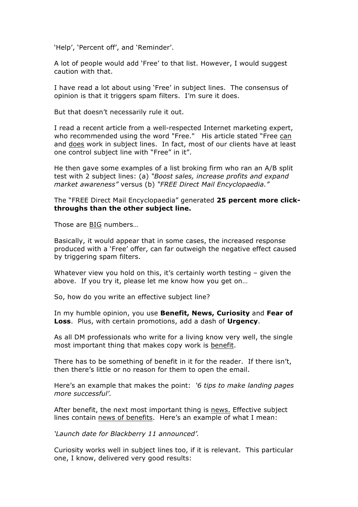'Help', 'Percent off', and 'Reminder'.

A lot of people would add 'Free' to that list. However, I would suggest caution with that.

I have read a lot about using 'Free' in subject lines. The consensus of opinion is that it triggers spam filters. I'm sure it does.

But that doesn't necessarily rule it out.

I read a recent article from a well-respected Internet marketing expert, who recommended using the word "Free." His article stated "Free can and does work in subject lines. In fact, most of our clients have at least one control subject line with "Free" in it".

He then gave some examples of a list broking firm who ran an A/B split test with 2 subject lines: (a) *"Boost sales, increase profits and expand market awareness"* versus (b) *"FREE Direct Mail Encyclopaedia."*

The "FREE Direct Mail Encyclopaedia" generated **25 percent more clickthroughs than the other subject line.**

Those are BIG numbers…

Basically, it would appear that in some cases, the increased response produced with a 'Free' offer, can far outweigh the negative effect caused by triggering spam filters.

Whatever view you hold on this, it's certainly worth testing - given the above. If you try it, please let me know how you get on…

So, how do you write an effective subject line?

In my humble opinion, you use **Benefit, News, Curiosity** and **Fear of Loss**. Plus, with certain promotions, add a dash of **Urgency**.

As all DM professionals who write for a living know very well, the single most important thing that makes copy work is benefit.

There has to be something of benefit in it for the reader. If there isn't, then there's little or no reason for them to open the email.

Here's an example that makes the point: *'6 tips to make landing pages more successful'.*

After benefit, the next most important thing is news. Effective subject lines contain news of benefits. Here's an example of what I mean:

*'Launch date for Blackberry 11 announced'.*

Curiosity works well in subject lines too, if it is relevant. This particular one, I know, delivered very good results: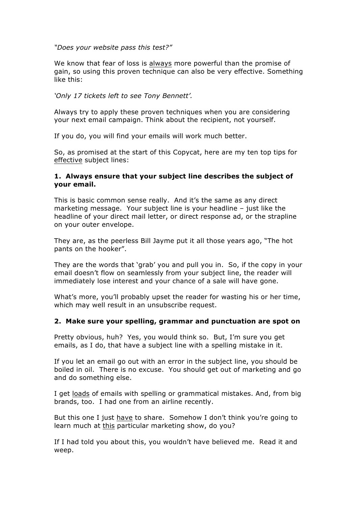*"Does your website pass this test?"*

We know that fear of loss is always more powerful than the promise of gain, so using this proven technique can also be very effective. Something like this:

*'Only 17 tickets left to see Tony Bennett'.*

Always try to apply these proven techniques when you are considering your next email campaign. Think about the recipient, not yourself.

If you do, you will find your emails will work much better.

So, as promised at the start of this Copycat, here are my ten top tips for effective subject lines:

## **1. Always ensure that your subject line describes the subject of your email.**

This is basic common sense really. And it's the same as any direct marketing message. Your subject line is your headline – just like the headline of your direct mail letter, or direct response ad, or the strapline on your outer envelope.

They are, as the peerless Bill Jayme put it all those years ago, "The hot pants on the hooker".

They are the words that 'grab' you and pull you in. So, if the copy in your email doesn't flow on seamlessly from your subject line, the reader will immediately lose interest and your chance of a sale will have gone.

What's more, you'll probably upset the reader for wasting his or her time, which may well result in an unsubscribe request.

### **2. Make sure your spelling, grammar and punctuation are spot on**

Pretty obvious, huh? Yes, you would think so. But, I'm sure you get emails, as I do, that have a subject line with a spelling mistake in it.

If you let an email go out with an error in the subject line, you should be boiled in oil. There is no excuse. You should get out of marketing and go and do something else.

I get loads of emails with spelling or grammatical mistakes. And, from big brands, too. I had one from an airline recently.

But this one I just have to share. Somehow I don't think you're going to learn much at this particular marketing show, do you?

If I had told you about this, you wouldn't have believed me. Read it and weep.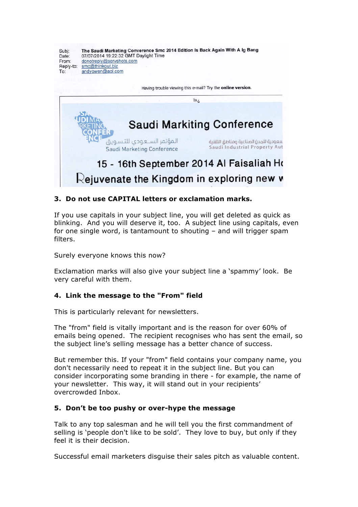

# **3. Do not use CAPITAL letters or exclamation marks.**

If you use capitals in your subject line, you will get deleted as quick as blinking. And you will deserve it, too. A subject line using capitals, even for one single word, is tantamount to shouting – and will trigger spam filters.

Surely everyone knows this now?

Exclamation marks will also give your subject line a 'spammy' look. Be very careful with them.

### **4. Link the message to the "From" field**

This is particularly relevant for newsletters.

The "from" field is vitally important and is the reason for over 60% of emails being opened. The recipient recognises who has sent the email, so the subject line's selling message has a better chance of success.

But remember this. If your "from" field contains your company name, you don't necessarily need to repeat it in the subject line. But you can consider incorporating some branding in there - for example, the name of your newsletter. This way, it will stand out in your recipients' overcrowded Inbox.

### **5. Don't be too pushy or over-hype the message**

Talk to any top salesman and he will tell you the first commandment of selling is 'people don't like to be sold'. They love to buy, but only if they feel it is their decision.

Successful email marketers disguise their sales pitch as valuable content.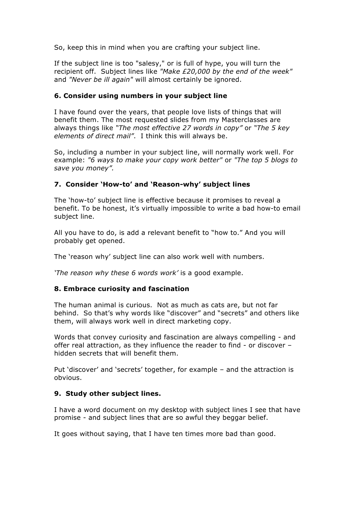So, keep this in mind when you are crafting your subject line.

If the subject line is too "salesy," or is full of hype, you will turn the recipient off. Subject lines like *"Make £20,000 by the end of the week"*  and *"Never be ill again"* will almost certainly be ignored.

## **6. Consider using numbers in your subject line**

I have found over the years, that people love lists of things that will benefit them. The most requested slides from my Masterclasses are always things like *"The most effective 27 words in copy"* or *"The 5 key elements of direct mail"*. I think this will always be.

So, including a number in your subject line, will normally work well. For example: *"6 ways to make your copy work better"* or *"The top 5 blogs to save you money".*

## **7. Consider 'How-to' and 'Reason-why' subject lines**

The 'how-to' subject line is effective because it promises to reveal a benefit. To be honest, it's virtually impossible to write a bad how-to email subject line.

All you have to do, is add a relevant benefit to "how to." And you will probably get opened.

The 'reason why' subject line can also work well with numbers.

*'The reason why these 6 words work'* is a good example.

## **8. Embrace curiosity and fascination**

The human animal is curious. Not as much as cats are, but not far behind. So that's why words like "discover" and "secrets" and others like them, will always work well in direct marketing copy.

Words that convey curiosity and fascination are always compelling - and offer real attraction, as they influence the reader to find - or discover – hidden secrets that will benefit them.

Put 'discover' and 'secrets' together, for example – and the attraction is obvious.

### **9. Study other subject lines.**

I have a word document on my desktop with subject lines I see that have promise - and subject lines that are so awful they beggar belief.

It goes without saying, that I have ten times more bad than good.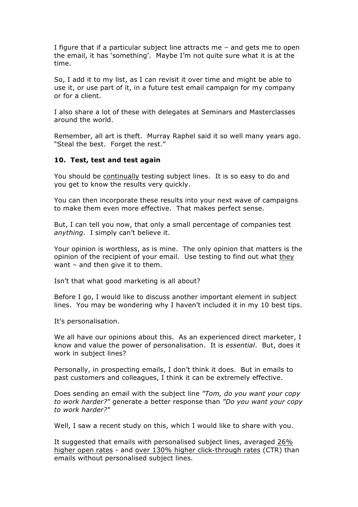I figure that if a particular subject line attracts me – and gets me to open the email, it has 'something'. Maybe I'm not quite sure what it is at the time.

So, I add it to my list, as I can revisit it over time and might be able to use it, or use part of it, in a future test email campaign for my company or for a client.

I also share a lot of these with delegates at Seminars and Masterclasses around the world.

Remember, all art is theft. Murray Raphel said it so well many years ago. "Steal the best. Forget the rest."

### **10. Test, test and test again**

You should be continually testing subject lines. It is so easy to do and you get to know the results very quickly.

You can then incorporate these results into your next wave of campaigns to make them even more effective. That makes perfect sense.

But, I can tell you now, that only a small percentage of companies test *anything*. I simply can't believe it.

Your opinion is worthless, as is mine. The only opinion that matters is the opinion of the recipient of your email. Use testing to find out what they want – and then give it to them.

Isn't that what good marketing is all about?

Before I go, I would like to discuss another important element in subject lines. You may be wondering why I haven't included it in my 10 best tips.

It's personalisation.

We all have our opinions about this. As an experienced direct marketer, I know and value the power of personalisation. It is *essential*. But, does it work in subject lines?

Personally, in prospecting emails, I don't think it does. But in emails to past customers and colleagues, I think it can be extremely effective.

Does sending an email with the subject line *"Tom, do you want your copy to work harder?"* generate a better response than *"Do you want your copy to work harder?"*

Well, I saw a recent study on this, which I would like to share with you.

It suggested that emails with personalised subject lines, averaged 26% higher open rates - and over 130% higher click-through rates (CTR) than emails without personalised subject lines.